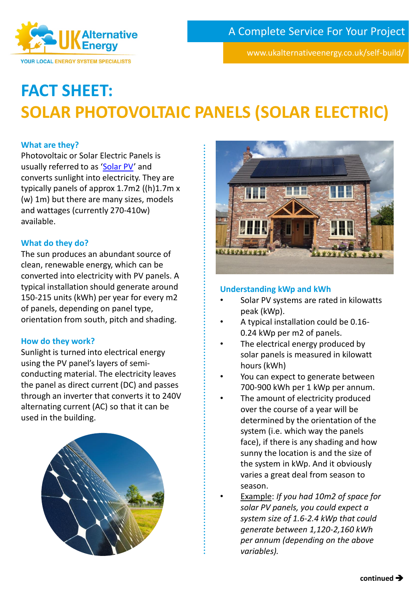www.ukalternativeenergy.co.uk/self-build/

# **FACT SHEET: SOLAR PHOTOVOLTAIC PANELS (SOLAR ELECTRIC)**

# **What are they?**

Photovoltaic or Solar Electric Panels is usually referred to as '[Solar PV](https://www.ukalternativeenergy.co.uk/self-build/solar-pv/)' and converts sunlight into electricity. They are typically panels of approx 1.7m2 ((h)1.7m x (w) 1m) but there are many sizes, models and wattages (currently 270-410w) available.

**Alternative** 

**YOUR LOCAL ENERGY SYSTEM SPECIALISTS** 

### **What do they do?**

The sun produces an abundant source of clean, renewable energy, which can be converted into electricity with PV panels. A typical installation should generate around 150-215 units (kWh) per year for every m2 of panels, depending on panel type, orientation from south, pitch and shading.

### **How do they work?**

Sunlight is turned into electrical energy using the PV panel's layers of semiconducting material. The electricity leaves the panel as direct current (DC) and passes through an inverter that converts it to 240V alternating current (AC) so that it can be used in the building.





# **Understanding kWp and kWh**

- Solar PV systems are rated in kilowatts peak (kWp).
- A typical installation could be 0.16- 0.24 kWp per m2 of panels.
- The electrical energy produced by solar panels is measured in kilowatt hours (kWh)
- You can expect to generate between 700-900 kWh per 1 kWp per annum.
- The amount of electricity produced over the course of a year will be determined by the orientation of the system (i.e. which way the panels face), if there is any shading and how sunny the location is and the size of the system in kWp. And it obviously varies a great deal from season to season.
	- Example: *If you had 10m2 of space for solar PV panels, you could expect a system size of 1.6-2.4 kWp that could generate between 1,120-2,160 kWh per annum (depending on the above variables).*